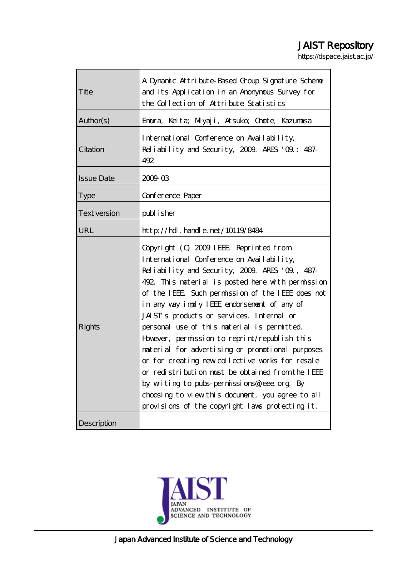# JAIST Repository

https://dspace.jaist.ac.jp/

| Title               | A Dynamic Attribute-Based Group Signature Scheme<br>and its Application in an Anonymous Survey for<br>the Collection of Attribute Statistics                                                                                                                                                                                                                                                                                                                                                                                                                                                                                                                                                                                                                 |  |  |
|---------------------|--------------------------------------------------------------------------------------------------------------------------------------------------------------------------------------------------------------------------------------------------------------------------------------------------------------------------------------------------------------------------------------------------------------------------------------------------------------------------------------------------------------------------------------------------------------------------------------------------------------------------------------------------------------------------------------------------------------------------------------------------------------|--|--|
| Author(s)           | Emura, Keita; Milyaji, Atsuko; Omote, Kazumasa                                                                                                                                                                                                                                                                                                                                                                                                                                                                                                                                                                                                                                                                                                               |  |  |
| Citation            | International Conference on Availability,<br>Reliability and Security, 2009. ARES '09: 487-<br>492                                                                                                                                                                                                                                                                                                                                                                                                                                                                                                                                                                                                                                                           |  |  |
| <b>Issue Date</b>   | 200903                                                                                                                                                                                                                                                                                                                                                                                                                                                                                                                                                                                                                                                                                                                                                       |  |  |
| <b>Type</b>         | Conference Paper                                                                                                                                                                                                                                                                                                                                                                                                                                                                                                                                                                                                                                                                                                                                             |  |  |
| <b>Text version</b> | publisher                                                                                                                                                                                                                                                                                                                                                                                                                                                                                                                                                                                                                                                                                                                                                    |  |  |
| URL                 | http://hdl.handle.net/10119/8484                                                                                                                                                                                                                                                                                                                                                                                                                                                                                                                                                                                                                                                                                                                             |  |  |
| Rights              | Copyright (C) 2009 IEEE Reprinted from<br>International Conference on Availability,<br>Reliability and Security, 2009. ARES '09., 487-<br>492. This naterial is posted here with permission<br>of the IEEE. Such permission of the IEEE does not<br>in any way imply IEEE endorsement of any of<br>JAIST's products or services. Internal or<br>personal use of this material is permitted<br>However, permission to reprint/republish this<br>material for advertising or promotional purposes<br>or for creating new collective works for resale<br>or redistribution must be obtained from the IEEE<br>by writing to pubs-permissions@ieee.org. By<br>choosing to view this document, you agree to all<br>provisions of the copyright laws protecting it. |  |  |
| Description         |                                                                                                                                                                                                                                                                                                                                                                                                                                                                                                                                                                                                                                                                                                                                                              |  |  |

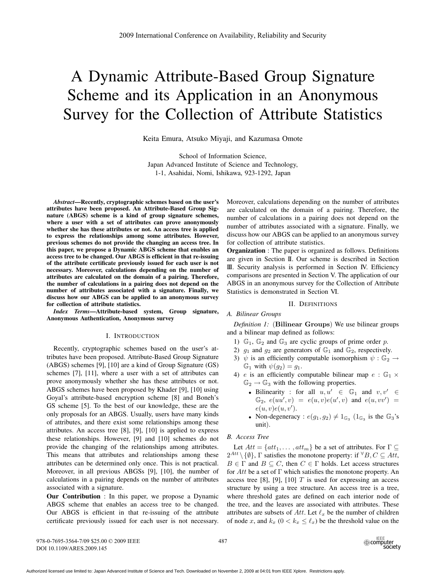# A Dynamic Attribute-Based Group Signature Scheme and its Application in an Anonymous Survey for the Collection of Attribute Statistics

Keita Emura, Atsuko Miyaji, and Kazumasa Omote

School of Information Science, Japan Advanced Institute of Science and Technology, 1-1, Asahidai, Nomi, Ishikawa, 923-1292, Japan

*Abstract***—Recently, cryptographic schemes based on the user's attributes have been proposed. An Attribute-Based Group Signature (ABGS) scheme is a kind of group signature schemes, where a user with a set of attributes can prove anonymously whether she has these attributes or not. An access tree is applied to express the relationships among some attributes. However, previous schemes do not provide the changing an access tree. In this paper, we propose a Dynamic ABGS scheme that enables an access tree to be changed. Our ABGS is efficient in that re-issuing of the attribute certificate previously issued for each user is not necessary. Moreover, calculations depending on the number of attributes are calculated on the domain of a pairing. Therefore, the number of calculations in a pairing does not depend on the number of attributes associated with a signature. Finally, we discuss how our ABGS can be applied to an anonymous survey for collection of attribute statistics.**

*Index Terms***—Attribute-based system, Group signature, Anonymous Authentication, Anonymous survey**

## I. INTRODUCTION

Recently, cryptographic schemes based on the user's attributes have been proposed. Attribute-Based Group Signature (ABGS) schemes [9], [10] are a kind of Group Signature (GS) schemes [7], [11], where a user with a set of attributes can prove anonymously whether she has these attributes or not. ABGS schemes have been proposed by Khader [9], [10] using Goyal's attribute-based encryption scheme [8] and Boneh's GS scheme [5]. To the best of our knowledge, these are the only proposals for an ABGS. Usually, users have many kinds of attributes, and there exist some relationships among these attributes. An access tree [8], [9], [10] is applied to express these relationships. However, [9] and [10] schemes do not provide the changing of the relationships among attributes. This means that attributes and relationships among these attributes can be determined only once. This is not practical. Moreover, in all previous ABGSs [9], [10], the number of calculations in a pairing depends on the number of attributes associated with a signature.

**Our Contribution** : In this paper, we propose a Dynamic ABGS scheme that enables an access tree to be changed. Our ABGS is efficient in that re-issuing of the attribute certificate previously issued for each user is not necessary.

Moreover, calculations depending on the number of attributes are calculated on the domain of a pairing. Therefore, the number of calculations in a pairing does not depend on the number of attributes associated with a signature. Finally, we discuss how our ABGS can be applied to an anonymous survey for collection of attribute statistics.

**Organization** : The paper is organized as follows. Definitions are given in Section II. Our scheme is described in Section III. Security analysis is performed in Section IV. Efficiency comparisons are presented in Section V. The application of our ABGS in an anonymous survey for the Collection of Attribute Statistics is demonstrated in Section VI.

### II. DEFINITIONS

#### *A. Bilinear Groups*

*Definition 1:* (**Bilinear Groups**) We use bilinear groups and a bilinear map defined as follows:

- 1)  $\mathbb{G}_1$ ,  $\mathbb{G}_2$  and  $\mathbb{G}_3$  are cyclic groups of prime order p.
- 2)  $g_1$  and  $g_2$  are generators of  $\mathbb{G}_1$  and  $\mathbb{G}_2$ , respectively.
- 3)  $\psi$  is an efficiently computable isomorphism  $\psi : \mathbb{G}_2 \to$  $\mathbb{G}_1$  with  $\psi(g_2) = g_1$ .
- 4) e is an efficiently computable bilinear map  $e : \mathbb{G}_1 \times$  $\mathbb{G}_2 \rightarrow \mathbb{G}_3$  with the following properties.
	- Bilinearity : for all  $u, u' \in \mathbb{G}_1$  and  $v, v' \in \mathbb{G}_2$  $\mathbb{G}_2, e(uu', v) = e(u, v)e(u', v)$  and  $e(u, vv') =$  $e(u, v)e(u, v').$
	- Non-degeneracy :  $e(g_1, g_2) \neq 1_{\mathbb{G}_3}$  ( $1_{\mathbb{G}_3}$  is the  $\mathbb{G}_3$ 's unit).

#### *B. Access Tree*

Let  $Att = \{att_1, \ldots, att_m\}$  be a set of attributes. For  $\Gamma \subseteq$  $2^{Att} \setminus \{\emptyset\}$ ,  $\Gamma$  satisfies the monotone property: if  $\forall B, C \subseteq Att$ ,  $B \in \Gamma$  and  $B \subseteq C$ , then  $C \in \Gamma$  holds. Let access structures for Att be a set of  $\Gamma$  which satisfies the monotone property. An access tree [8], [9], [10]  $T$  is used for expressing an access structure by using a tree structure. An access tree is a tree, where threshold gates are defined on each interior node of the tree, and the leaves are associated with attributes. These attributes are subsets of Att. Let  $\ell_x$  be the number of children of node x, and  $k_x$  ( $0 < k_x \leq \ell_x$ ) be the threshold value on the

978-0-7695-3564-7/09 \$25.00 © 2009 IEEE DOI 10.1109/ARES.2009.145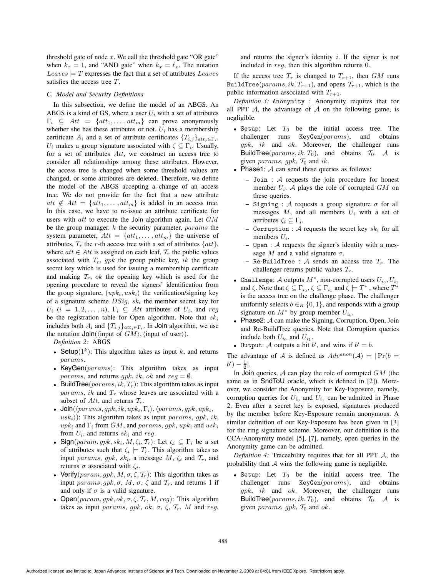threshold gate of node  $x$ . We call the threshold gate "OR gate" when  $k_x = 1$ , and "AND gate" when  $k_x = \ell_x$ . The notation  $Leaves \models T$  expresses the fact that a set of attributes  $Leaves$ satisfies the access tree T.

#### *C. Model and Security Definitions*

In this subsection, we define the model of an ABGS. An ABGS is a kind of GS, where a user  $U_i$  with a set of attributes  $\Gamma_i \subseteq Att = \{att_1, \ldots, att_m\}$  can prove anonymously whether she has these attributes or not.  $U_i$  has a membership certificate  $A_i$  and a set of attribute certificates  $\{T_{i,j}\}_{att_i\in\Gamma_i}$ .  $U_i$  makes a group signature associated with  $\zeta \subseteq \Gamma_i$ . Usually, for a set of attributes Att, we construct an access tree to consider all relationships among these attributes. However, the access tree is changed when some threshold values are changed, or some attributes are deleted. Therefore, we define the model of the ABGS accepting a change of an access tree. We do not provide for the fact that a new attribute att  $\notin$  Att = {att<sub>1</sub>,..., att<sub>m</sub>} is added in an access tree. In this case, we have to re-issue an attribute certificate for users with  $att$  to execute the Join algorithm again. Let  $GM$ be the group manager.  $k$  the security parameter,  $params$  the system parameter,  $Att = \{att_1, \ldots, att_m\}$  the universe of attributes,  $T_r$  the r-th access tree with a set of attributes  $\{att\}$ , where  $att \in Att$  is assigned on each leaf,  $\mathcal{T}_r$  the public values associated with  $T_r$ , gpk the group public key, ik the group secret key which is used for issuing a membership certificate and making  $\mathcal{T}_r$ , ok the opening key which is used for the opening procedure to reveal the signers' identification from the group signature,  $(upk_i, usk_i)$  the verification/signing key of a signature scheme  $DSia$ ,  $sk_i$  the member secret key for  $U_i$  (i = 1, 2, ..., n),  $\Gamma_i \subseteq$  Att attributes of  $U_i$ , and reg be the registration table for Open algorithm. Note that  $sk_i$ includes both  $A_i$  and  $\{T_{i,j}\}_{att_i \in \Gamma_i}$ . In Join algorithm, we use the notation  $Join(\langle input \space of \space GM \rangle, \langle input \space of \space user \rangle).$ 

*Definition 2:* ABGS

- Setup( $1^k$ ): This algorithm takes as input k, and returns params.
- KeyGen( $params$ ): This algorithm takes as input *params*, and returns *gpk*, *ik*, *ok* and  $reg = \emptyset$ .
- BuildTree( $params, ik, T_r$ ): This algorithm takes as input  $params, ik$  and  $T_r$  whose leaves are associated with a subset of Att, and returns  $\mathcal{T}_r$ .
- Join( $\langle \text{params}, \text{gpk}, \text{ik}, \text{upk}_i, \Gamma_i \rangle$ ,  $\langle \text{params}, \text{gpk}, \text{upk}_i, \Gamma_i \rangle$  $u s k_i$ ): This algorithm takes as input params, gpk, ik, upk<sub>i</sub> and  $\Gamma_i$  from GM, and params, gpk, upk<sub>i</sub> and usk<sub>i</sub> from  $U_i$ , and returns  $sk_i$  and reg.
- Sign( $param, gpk, sk_i, M, \zeta_i, \mathcal{T}_r$ ): Let  $\zeta_i \subseteq \Gamma_i$  be a set of attributes such that  $\zeta_i \models T_r$ . This algorithm takes as input params, gpk, sk<sub>i</sub>, a message M,  $\zeta_i$  and  $\mathcal{T}_r$ , and returns  $\sigma$  associated with  $\zeta_i$ .
- Verify( $param, gpk, M, \sigma, \zeta, \mathcal{T}_r$ ): This algorithm takes as input params, gpk,  $\sigma$ , M,  $\sigma$ ,  $\zeta$  and  $\mathcal{T}_r$ , and returns 1 if and only if  $\sigma$  is a valid signature.
- Open( $param, gpk, ok, \sigma, \zeta, T_r, M, reg$ ): This algorithm takes as input params, gpk, ok,  $\sigma$ ,  $\zeta$ ,  $\mathcal{T}_r$ , M and reg,

and returns the signer's identity  $i$ . If the signer is not included in reg, then this algorithm returns 0.

If the access tree  $T_r$  is changed to  $T_{r+1}$ , then  $GM$  runs BuildTree( $params, ik, T_{r+1}$ ), and opens  $T_{r+1}$ , which is the public information associated with  $T_{r+1}$ .

*Definition 3:* Anonymity : Anonymity requires that for all PPT  $\mathcal A$ , the advantage of  $\mathcal A$  on the following game, is negligible.

- Setup: Let  $T_0$  be the initial access tree. The challenger runs  $KeyGen(params)$ , and obtains  $qpk$ , ik and ok. Moreover, the challenger runs BuildTree( $params, ik, T_0$ ), and obtains  $T_0$ . A is given params, gpk,  $\mathcal{T}_0$  and ik.
- Phase1: A can send these queries as follows:
	- **–** Join : A requests the join procedure for honest member  $U_i$ . A plays the role of corrupted  $GM$  on these queries.
	- **–** Signing : A requests a group signature  $\sigma$  for all messages  $M$ , and all members  $U_i$  with a set of attributes  $\zeta_i \subseteq \Gamma_i$ .
	- Corruption :  $A$  requests the secret key  $sk_i$  for all members  $U_i$ .
	- **–** Open : A requests the signer's identity with a message M and a valid signature  $\sigma$ .
	- Re-BuildTree :  $A$  sends an access tree  $T_r$ . The challenger returns public values  $T_r$ .
- Challenge: A outputs  $M^*$ , non-corrupted users  $U_{i_0}, U_{i_1}$ and  $\zeta$ . Note that  $\zeta \subseteq \Gamma_{i_0}, \zeta \subseteq \Gamma_{i_1}$  and  $\zeta \models T^*$ , where  $T^*$ is the access tree on the challenge phase. The challenger uniformly selects  $b \in_R \{0, 1\}$ , and responds with a group signature on  $M^*$  by group member  $U_{i_b}$ .
- Phase2: A can make the Signing, Corruption, Open, Join and Re-BuildTree queries. Note that Corruption queries include both  $U_{i_0}$  and  $U_{i_1}$ .
- Output: A outputs a bit b', and wins if  $b' = b$ .

The advantage of A is defined as  $Adv^{anon}(\mathcal{A}) = | \Pr(b =$  $b'$ ) –  $\frac{1}{2}$ |.

In Join queries,  $A$  can play the role of corrupted  $GM$  (the same as in SndToU oracle, which is defined in [2]). Moreover, we consider the Anonymity for Key-Exposure, namely, corruption queries for  $U_{i_0}$  and  $U_{i_1}$  can be admitted in Phase 2. Even after a secret key is exposed, signatures produced by the member before Key-Exposure remain anonymous. A similar definition of our Key-Exposure has been given in [3] for the ring signature scheme. Moreover, our definition is the CCA-Anonymity model [5], [7], namely, open queries in the Anonymity game can be admitted.

*Definition 4:* Traceability requires that for all PPT A, the probability that  $A$  wins the following game is negligible.

• Setup: Let  $T_0$  be the initial access tree. The challenger runs KeyGen(params), and obtains gpk, ik and ok. Moreover, the challenger runs BuildTree( $params, ik, T_0$ ), and obtains  $T_0$ . A is given params, gpk,  $T_0$  and ok.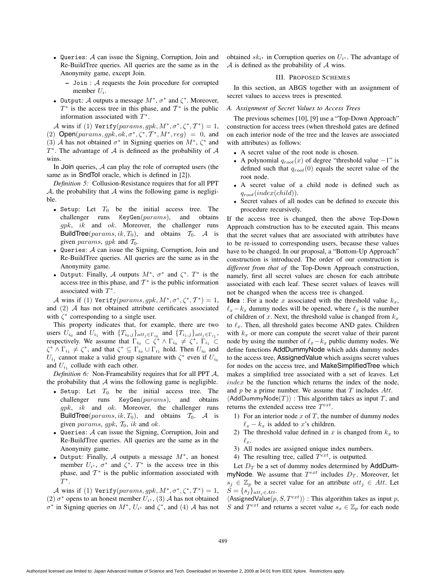- Queries: A can issue the Signing, Corruption, Join and Re-BuildTree queries. All queries are the same as in the Anonymity game, except Join.
	- **–** Join : A requests the Join procedure for corrupted member  $U_i$ .
- Output: A outputs a message  $M^*$ ,  $\sigma^*$  and  $\zeta^*$ . Moreover,  $T^*$  is the access tree in this phase, and  $T^*$  is the public information associated with  $T^*$ .

A wins if (1) Verify(params, gpk,  $M^*, \sigma^*, \zeta^*, T^*)=1$ ,

(2) Open( $params, gpk, ok, \sigma^*, \zeta^*, T^*, M^*, reg$ ) = 0, and (3) A has not obtained  $\sigma^*$  in Signing queries on  $M^*$ ,  $\zeta^*$  and  $T^*$ . The advantage of A is defineed as the probability of A wins.

In Join queries,  $A$  can play the role of corrupted users (the same as in **SndToI** oracle, which is defined in [2]).

*Definition 5:* Collusion-Resistance requires that for all PPT A, the probability that  $A$  wins the following game is negligible.

- Setup: Let  $T_0$  be the initial access tree. The challenger runs KeyGen(params), and obtains  $qpk$ , ik and ok. Moreover, the challenger runs BuildTree( $params, ik, T_0$ ), and obtains  $T_0$ . A is given *params*, *gpk* and  $T_0$ .
- Queries: A can issue the Signing, Corruption, Join and Re-BuildTree queries. All queries are the same as in the Anonymity game.
- Output: Finally, A outputs  $M^*$ ,  $\sigma^*$  and  $\zeta^*$ .  $T^*$  is the access tree in this phase, and  $T^*$  is the public information associated with  $T^*$ .

A wins if (1) Verify(params, gpk,  $M^*, \sigma^*, \zeta^*, T^*)=1$ , and  $(2)$  A has not obtained attribute certificates associated with  $\zeta^*$  corresponding to a single user.

This property indicates that, for example, there are two users  $U_{i_0}$  and  $U_{i_1}$  with  $\{T_{i_0,j}\}_{att_j\in\Gamma_{i_0}}$  and  $\{T_{i_1,j}\}_{att_j\in\Gamma_{i_1}}$ , respectively. We assume that  $\Gamma_{i_0} \subset \zeta^* \wedge \Gamma_{i_0} \neq \zeta^*$ ,  $\Gamma_{i_1} \subset$  $\zeta^* \wedge \Gamma_{i_1} \neq \zeta^*$ , and that  $\zeta^* \subseteq \Gamma_{i_0} \cup \Gamma_{i_1}$  hold. Then  $U_{i_0}$  and  $U_{i_1}$  cannot make a valid group signature with  $\zeta^*$  even if  $U_{i_0}$ and  $U_{i_1}$  collude with each other.

*Definition 6:* Non-Frameability requires that for all PPT A, the probability that  $A$  wins the following game is negligible.

- Setup: Let  $T_0$  be the initial access tree. The challenger runs KeyGen(params), and obtains  $gpk$ , ik and ok. Moreover, the challenger runs BuildTree( $params, ik, T_0$ ), and obtains  $T_0$ . A is given params, gpk,  $T_0$ , ik and ok.
- Queries: A can issue the Signing, Corruption, Join and Re-BuildTree queries. All queries are the same as in the Anonymity game.
- Output: Finally,  $A$  outputs a message  $M^*$ , an honest member  $U_{i^*}$ ,  $\sigma^*$  and  $\zeta^*$ .  $T^*$  is the access tree in this phase, and  $\mathcal{T}^*$  is the public information associated with  $T^{\ast}.$

A wins if (1) Verify(params, gpk,  $M^*, \sigma^*, \zeta^*, T^*)=1$ , (2)  $\sigma^*$  opens to an honest member  $U_{i^*}$ , (3) A has not obtained  $\sigma^*$  in Signing queries on  $M^*$ ,  $U_{i^*}$  and  $\zeta^*$ , and  $(4)$  A has not

obtained  $sk_{i*}$  in Corruption queries on  $U_{i*}$ . The advantage of  $A$  is defined as the probability of  $A$  wins.

#### III. PROPOSED SCHEMES

In this section, an ABGS together with an assignment of secret values to access trees is presented.

### *A. Assignment of Secret Values to Access Trees*

The previous schemes [10], [9] use a "Top-Down Approach" construction for access trees (when threshold gates are defined on each interior node of the tree and the leaves are associated with attributes) as follows:

- A secret value of the root node is chosen.
- A polynomial  $q_{root}(x)$  of degree "threshold value −1" is defined such that  $q_{root}(0)$  equals the secret value of the root node.
- A secret value of a child node is defined such as  $q_{root}(index(child)).$
- Secret values of all nodes can be defined to execute this procedure recursively.

If the access tree is changed, then the above Top-Down Approach construction has to be executed again. This means that the secret values that are associated with attributes have to be re-issued to corresponding users, because these values have to be changed. In our proposal, a "Bottom-Up Approach" construction is introduced. The order of our construction is *different from that of* the Top-Down Approach construction, namely, first all secret values are chosen for each attribute associated with each leaf. These secret values of leaves will not be changed when the access tree is changed.

**Idea** : For a node x associated with the threshold value  $k_x$ ,  $\ell_x - k_x$  dummy nodes will be opened, where  $\ell_x$  is the number of children of x. Next, the threshold value is changed from  $k_x$ to  $\ell_x$ . Then, all threshold gates become AND gates. Children with  $k_x$  or more can compute the secret value of their parent node by using the number of  $\ell_x - k_x$  public dummy nodes. We define functions AddDummyNode which adds dummy nodes to the access tree, AssignedValue which assigns secret values for nodes on the access tree, and MakeSimplifiedTree which makes a simplified tree associated with a set of leaves. Let index be the function which returns the index of the node, and  $p$  be a prime number. We assume that  $T$  includes  $Att$ .

 $\langle$ AddDummyNode $(T)\rangle$ : This algorithm takes as input T, and returns the extended access tree  $T^{ext}$ .

- 1) For an interior node  $x$  of  $T$ , the number of dummy nodes  $\ell_x - k_x$  is added to x's children.
- 2) The threshold value defined in x is changed from  $k_x$  to  $\ell_x$ .
- 3) All nodes are assigned unique index numbers.
- 4) The resulting tree, called  $T^{ext}$ , is outputted.

Let  $D_T$  be a set of dummy nodes determined by AddDummyNode. We assume that  $T^{ext}$  includes  $D_T$ . Moreover, let  $s_j \in \mathbb{Z}_p$  be a secret value for an attribute  $att_j \in Att$ . Let  $S = \{s_j\}_{att_j \in Att}$ .

 $\langle$ AssignedValue $(p, S, T^{ext})\rangle$ : This algorithm takes as input p, S and  $T^{ext}$  and returns a secret value  $s_x \in \mathbb{Z}_p$  for each node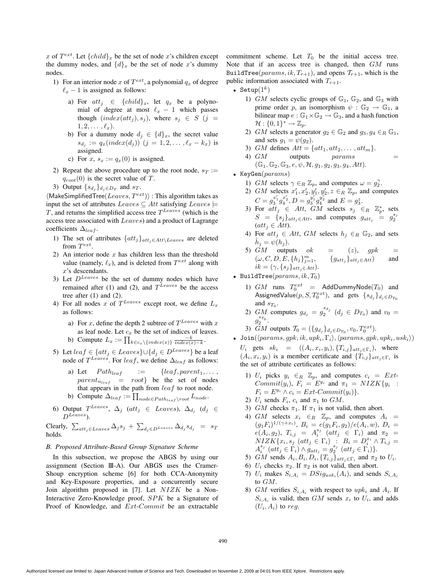x of  $T^{ext}$ . Let  $\{child\}_x$  be the set of node x's children except the dummy nodes, and  $\{d\}_x$  be the set of node x's dummy nodes.

- 1) For an interior node x of  $T^{ext}$ , a polynomial  $q_x$  of degree  $\ell_x$  − 1 is assigned as follows:
	- a) For  $att_i \in \{child\}_x$ , let  $q_x$  be a polynomial of degree at most  $\ell_x$  − 1 which passes though  $(index(att<sub>j</sub>), s<sub>j</sub>)$ , where  $s<sub>j</sub> \in S$  (j =  $1, 2, \ldots, \ell_x$ ).
	- b) For a dummy node  $d_j \in \{d\}_x$ , the secret value  $s_{d_j} := q_x(index(d_j))$   $(j = 1, 2, ..., \ell_x - k_x)$  is assigned.
	- c) For  $x, s_x := q_x(0)$  is assigned.
- 2) Repeat the above procedure up to the root node,  $s_T :=$  $q_{root}(0)$  is the secret value of T.
- 3) Output  $\{s_{d_i}\}_{d_i \in D_T}$  and  $s_T$ .

 $\langle$ MakeSimplifiedTree $(Leaves, T^{ext})\rangle$ : This algorithm takes as input the set of attributes  $Leaves \subseteq Att$  satisfying  $Leaves \models$  $T$ , and returns the simplified access tree  $T^{Leaves}$  (which is the access tree associated with Leaves) and a product of Lagrange coefficients  $\Delta_{leaf}$ .

- 1) The set of attributes  $\{att_j\}_{att_j \in Att \setminus Leaves}$  are deleted from  $T^{ext}$ .
- 2) An interior node  $x$  has children less than the threshold value (namely,  $\ell_r$ ), and is deleted from  $T^{ext}$  along with x's descendants.
- 3) Let  $D^{Leaves}$  be the set of dummy nodes which have remained after (1) and (2), and  $T^{Leaves}$  be the access tree after  $(1)$  and  $(2)$ .
- 4) For all nodes x of  $T^{Leaves}$  except root, we define  $L_x$ as follows:
	- a) For x, define the depth 2 subtree of  $T^{Leaves}$  with x as leaf node. Let  $c_x$  be the set of indices of leaves. b) Compute  $L_x := \prod_{k \in c_x \setminus \{index(x)\}} \frac{-k}{index(x) - k}$ .
- 5) Let  $leaf \in \{att_j \in Leaves\} \cup \{d_j \in D^{Leaves}\}\$  be a leaf node of  $T^{Leaves}$ . For leaf, we define  $\Delta_{leaf}$  as follows:
	- a) Let  $Path_{leaf}$  := {leaf, parent<sub>1</sub>,...,  $parent_{n_{leaf}}$  =  $root$ } be the set of nodes that appears in the path from  $leaf$  to root node.
	- b) Compute  $\Delta_{leaf} := \prod_{node \in Path_{leaf} \setminus root} L_{node}.$
- 6) Output  $T^{Leaves}$ ,  $\Delta_j$  (att<sub>j</sub>  $\in$  Leaves),  $\Delta_{d_j}$  (d<sub>j</sub>  $\in$  $D^{Leaves}$

Clearly,  $\sum_{att_j \in \text{Leaves}} \Delta_j s_j + \sum_{d_j \in \text{D} \text{Leaves}} \Delta_{d_j} s_{d_j} = s_T$ holds.

# *B. Proposed Attribute-Based Group Signature Scheme*

In this subsection, we propose the ABGS by using our assignment (Section III-A). Our ABGS uses the Cramer-Shoup encryption scheme [6] for both CCA-Anonymity and Key-Exposure properties, and a concurrently secure Join algorithm proposed in [7]. Let  $NIZK$  be a Non-Interactive Zero-Knowledge proof, SPK be a Signature of Proof of Knowledge, and Ext-Commit be an extractable commitment scheme. Let  $T_0$  be the initial access tree. Note that if an access tree is changed, then GM runs BuildTree( $params, ik, T_{r+1}$ ), and opens  $T_{r+1}$ , which is the public information associated with  $T_{r+1}$ .

- Setup $(1^k)$ 
	- 1) GM selects cyclic groups of  $\mathbb{G}_1$ ,  $\mathbb{G}_2$ , and  $\mathbb{G}_3$  with prime order p, an isomorphism  $\psi : \mathbb{G}_2 \to \mathbb{G}_1$ , a bilinear map  $e : \mathbb{G}_1 \times \mathbb{G}_2 \to \mathbb{G}_3$ , and a hash function  $\mathcal{H}: \{0,1\}^* \to \mathbb{Z}_p.$
	- 2) GM selects a generator  $g_2 \in \mathbb{G}_2$  and  $g_3, g_4 \in_R \mathbb{G}_1$ , and sets  $g_1 = \psi(g_2)$ .
	- 3) GM defines  $Att = \{att_1, att_2, \ldots, att_m\}.$
	- 4)  $GM$  outputs params  $=$  $(\mathbb{G}_1, \mathbb{G}_2, \mathbb{G}_3, e, \psi, \mathcal{H}, g_1, g_2, g_3, g_4, Att).$
- KeyGen $(params)$ 
	- 1) GM selects  $\gamma \in_R \mathbb{Z}_p$ , and computes  $\omega = g_2^{\gamma}$ .
	- 2) GM selects  $x'_1, x'_2, y'_1, y'_2, z \in_R \mathbb{Z}_p$ , and computes  $C = g_3^{x'_1} g_4^{x'_2}, D = g_3^{y'_1} g_4^{y'_2}$  and  $E = g_3^z$ .
	- 3) For  $att_j \in Att$ ,  $GM$  selects  $s_j \in_R \mathbb{Z}_p^*$ , sets  $S = \{s_j\}_{att_j \in Att}$ , and computes  $g_{att_j} = g_2^{s_j}$  $(att<sub>i</sub>  $\in$  Att).$
	- 4) For  $att_j \in Att$ ,  $GM$  selects  $h_j \in_R \mathbb{G}_2$ , and sets  $h_i = \psi(h_i)$ .
	- 5) GM outputs ok =  $(z)$ , gpk =  $(\omega, C, D, E, \{h_j\}_{i=1}^m,$  ${g_{att}}_{i}$ <sub>*att<sub>i</sub>*∈*Att*</sub>) and  $ik = (\gamma, \{s_j\}_{att_j \in Att}).$
- BuildTree( $params, ik, T_0$ )
	- 1)  $GM$  runs  $T_0^{ext}$  = AddDummyNode( $T_0$ ) and AssignedValue $(p, S, T_0^{ext})$ , and gets  $\{s_{d_j}\}_{d_j \in D_{T_0}}$ and  $s_{T_0}$ .
	- 2)  $GM$  computes  $g_{d_j} = g_2^{s_{d_j}}$   $(d_j \in D_{T_0})$  and  $v_0 =$  $g_2^{s_{T_0}}.$
	- 3) *GM* outputs  $\mathcal{T}_0 = (\{g_{d_j}\}_{d_j \in D_{T_0}}, v_0, T_0^{ext})$ .
- Join( $\langle \text{params}, \text{spk}, \text{ik}, \text{upk}_i, \Gamma_i \rangle, \langle \text{params}, \text{spk}, \text{upk}_i, \text{usk}_i \rangle$ )

U<sub>i</sub> gets  $sk_i = ((A_i, x_i, y_i), \{T_{i,j}\}_{att_j \in \Gamma_i})$ , where  $(A_i, x_i, y_i)$  is a member certificate and  $\{T_{i,j}\}_{att_j \in \Gamma_i}$  is the set of attribute certificates as follows:

- 1)  $U_i$  picks  $y_i \in_R \mathbb{Z}_p$ , and computes  $c_i = Ext$ - $Commit(y_i)$ ,  $F_i = E^{y_i}$  and  $\pi_1 = NIZK\{y_i$ :  $F_i = E^{y_i} \wedge c_i = Ext\text{-}Commit(y_i)\}.$
- 2)  $U_i$  sends  $F_i$ ,  $c_i$  and  $\pi_1$  to  $GM$ .
- 3) GM checks  $\pi_1$ . If  $\pi_1$  is not valid, then abort.
- 4) GM selects  $x_i \in_R \mathbb{Z}_p$ , and computes  $A_i =$  $(g_1F_i)^{1/(\gamma+x_i)}, B_i = e(g_1F_i, g_2)/e(A_i, w), D_i =$  $e(A_i, g_2)$ ,  $T_{i,j} = A_i^{s_j}$  (att<sub>j</sub> ∈ Γ<sub>i</sub>) and  $\pi_2$  =  $NIZK\{x_i, s_j \ (att_j \in \Gamma_i) \ : \ B_i = D_i^{x_i} \wedge T_{i,j} =$  $A_i^{s_j}$  (att<sub>j</sub> ∈  $\Gamma_i$ )  $\wedge$   $g_{att_j} = g_2^{s_j}$  (att<sub>j</sub> ∈  $\Gamma_i$ ) }.
- 5) GM sends  $A_i, B_i, D_i, \{T_{i,j}\}_{att_j \in \Gamma_i}$  and  $\pi_2$  to  $U_i$ .
- 6)  $U_i$  checks  $\pi_2$ . If  $\pi_2$  is not valid, then abort.
- 7)  $U_i$  makes  $S_{i,A_i} = DSig_{usk_i}(A_i)$ , and sends  $S_{i,A_i}$ to GM.
- 8) GM verifies  $S_{i, A_i}$  with respect to up $k_i$  and  $A_i$ . If  $S_{i,A_i}$  is valid, then GM sends  $x_i$  to  $U_i$ , and adds  $(U_i, A_i)$  to reg.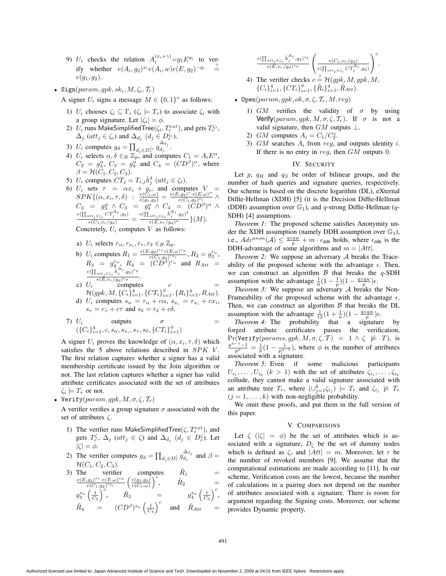- 9)  $U_i$  checks the relation  $A_i^{(x_i + \gamma)} = g_1 E^{y_i}$  to verify whether  $e(A_i, g_2)^{x_i}e(A_i, w)e(E, g_2)^{-y_i}$  $\stackrel{.}{=}$  $e(g_1, g_2)$ .
- Sign(param, gpk,  $sk_i$ ,  $M$ ,  $\zeta_i$ ,  $\mathcal{T}_r$ )

A signer  $U_i$  signs a message  $M \in \{0, 1\}^*$  as follows:

- 1)  $U_i$  chooses  $\zeta_i \subseteq \Gamma_i$  ( $\zeta_i \models T_r$ ) to associate  $\zeta_i$  with a group signature. Let  $|\zeta_i| = \phi$ .
- 2)  $U_i$  runs MakeSimplifiedTree( $\zeta_i, T_r^{ext}$ ), and gets  $T_r^{\zeta_i}$ ,  $\Delta_j$  ( $att_j \in \zeta_i$ ) and  $\Delta_{d_j}$  ( $d_j \in D_r^{\zeta_i}$ ).
- 3)  $U_i$  computes  $g_d = \prod_{d_j \in D_r^{\zeta_i}} g_{d_j}^{\Delta_{d_j}}$ .
- 4)  $U_i$  selects  $\alpha, \delta \in_R \mathbb{Z}_p$ , and computes  $C_1 = A_i E^{\alpha}$ ,  $C_2 = g_3^{\alpha}, C_3 = g_4^{\alpha}$  and  $C_4 = (CD^{\beta})^{\alpha}$ , where  $\beta = \mathcal{H}(\tilde{C}_1, C_2, C_3).$
- 5)  $U_i$  computes  $CT_j = T_{i,j} \hat{h}_j^{\delta}$  (att<sub>j</sub>  $\in \zeta_i$ ).
- 6)  $U_i$  sets  $\tau = \alpha x_i + y_i$ , and computes  $V_i =$  $SPK\{(\alpha, x_i, \tau, \delta): \begin{array}{l} e(G_1,\omega) \ e(G_1,g_2) = \frac{e(E,g_2)^{T} \cdot e(E,\omega)^{\alpha}}{e(G_1,g_2)^{x_i}} \wedge \end{array} \right)$  $\frac{C_2}{\prod_{\substack{at\{f\in \zeta_i}}\subset T_f^{\Delta_j},g_2)}} = \frac{g_4^{\alpha}\wedge C_4}{\prod_{\substack{at\{f\in \zeta_i}}\in \hat{h}_4^{\Delta_j},g_2 \rangle^{\delta}}}{\prod_{\substack{e(G_1,v_r/g_d)}}\in (\prod_{\substack{at\{f\in \zeta_i,r_f/g_d\}^{\alpha}}} \mathcal{A})} (M).$ Concretely,  $U_i$  computes V as follows:
	- a)  $U_i$  selects  $r_{\alpha}, r_{x_i}, r_{\tau}, r_{\delta} \in_R \mathbb{Z}_p$ .
	- b)  $U_i$  computes  $R_1 = \frac{e(E, g_2)^{r} \tau e(E, \omega)^{r \alpha}}{e(C_1, g_2)^{r x_i}}$ ,  $R_2 = g_3^{r \alpha}$ ,  $R_3 = g_4^{r\alpha}, R_4 = (\widetilde{CD}^{\widetilde{\beta}})^{r_{\alpha}}$  and  $R_{Att} = \frac{e(\prod_{att_j \in \zeta_i} \hat{h}_j^{\Delta_j}, g_2)^{r_{\delta}}}{e(E, v_r/g_d)^{r_{\alpha}}}.$
	- c)  $U_i$  computes c =  $\mathcal{H}(gpk, M, \{C_i\}_{i=1}^4, \{CT_i\}_{i=1}^{\phi}, \{R_i\}_{i=1}^4, R_{Att}).$ d)  $U_i$  computes  $s_\alpha = r_\alpha + c\alpha$ ,  $s_{x_i} = r_{x_i} + c x_i$ ,  $s_{\tau} = r_{\tau} + c\tau$  and  $s_{\delta} = r_{\delta} + c\delta$ .

7) 
$$
U_i
$$
 outputs  $\sigma$   
({ $C_i$ }<sup>4</sup><sub>*i*=1</sub>, *c*, *s*<sub>*\alpha*</sub>, *s*<sub>*x*<sub>*i*</sub>, *s*<sub>*\tau*</sub>, *s*<sub>*\delta*</sub>, { $CT_i$ } <sup>$\phi$</sup> <sub>*i*=1</sub>)</sub>

A signer  $U_i$  proves the knowledge of  $(\alpha, x_i, \tau, \delta)$  which satisfies the 5 above relations described in  $SPK$  V. The first relation captures whether a signer has a valid membership certificate issued by the Join algorithm or not. The last relation captures whether a signer has valid attribute certificates associated with the set of attributes  $\zeta_i \models T_r$  or not.

• Verify(param, gpk,  $M, \sigma, \zeta, \mathcal{T}_r$ )

A verifier verifies a group signature  $\sigma$  associated with the set of attributes ζ.

- 1) The verifier runs MakeSimplifiedTree( $\zeta, T_r^{ext}$ ), and gets  $T_r^{\zeta}$ ,  $\Delta_j$  ( $att_j \in \zeta$ ) and  $\Delta_{d_j}$  ( $d_j \in D_r^{\zeta}$ ). Let  $|\zeta| = \phi.$
- 2) The verifier computes  $g_d = \prod_{d_j \in D_r^{\zeta}} g_{d_j}^{\Delta_{d_j}}$  and  $\beta =$  $\mathcal{H}(C_1, C_2, C_3).$

3) The verifier computes 
$$
\begin{array}{rcl}\n\widehat{R}_1 & = & \\
\frac{e(E,g_2)^{s_T} \cdot e(E,\omega)^{s_\alpha}}{e(C_1,g_2)^{s_{x_i}}} \left(\frac{e(g_1,g_2)}{e(C_1,\omega)}\right)^c, & \widehat{R}_2 & = \\
g_3^{s_\alpha} \left(\frac{1}{C_2}\right)^c, & \widehat{R}_3 & = & g_4^{s_\alpha} \left(\frac{1}{C_3}\right)^c, \\
\widehat{R}_4 & = & (CD^\beta)^{s_\alpha} \left(\frac{1}{C_4}\right)^c & \text{and} & \widehat{R}_{Att} & = \\
\end{array}
$$

$$
\frac{e(\prod_{att_j\in\zeta_i}\hat{h}_j^{\Delta_j},g_2)^{s_{\delta}}}{e(E,v_r/g_d)^{s_{\alpha}}}\left(\frac{e(C_1,v_r/g_d)}{e(\prod_{att_j\in\zeta_i}CT_j^{\Delta_j},g_2)}\right)^c
$$

.

- 4) The verifier checks  $c = \mathcal{H}(gpk, M, gpk, M,$  ${C_i}_{i=1}^4, {CT_i}_{i=1}^{\phi}, {R_i}_{i=1}^4, \tilde{R}_{Att}.$
- Open(param, qpk, ok,  $\sigma$ ,  $\zeta$ ,  $\mathcal{T}_r$ ,  $M$ , reg)
	- 1) GM verifies the validity of  $\sigma$  by using Verify(param, gpk,  $M, \sigma, \zeta, \mathcal{T}_r$ ). If  $\sigma$  is not a valid signature, then  $GM$  outputs  $\perp$ .
	- 2) *GM* computes  $A_i = C_1/C_2^z$ .
	- 3)  $GM$  searches  $A_i$  from reg, and outputs identity i. If there is no entry in reg, then GM outputs 0.

# IV. SECURITY

Let p,  $q_H$  and  $q_S$  be order of bilinear groups, and the number of hash queries and signature queries, respectively. Our scheme is based on the discrete logarithm (DL), eXternal Diffie-Hellman (XDH) [5] (it is the Decision Diffie-Hellman (DDH) assumption over  $\mathbb{G}_1$ ), and q-strong Diffie-Hellman (q-SDH) [4] assumptions.

*Theorem 1:* The proposed scheme satisfies Anonymity under the XDH assumption (namely DDH assumption over  $\mathbb{G}_1$ ), i.e.,  $Adv^{anon}(\mathcal{A}) \leq \frac{qsq_H}{p} + m \cdot \epsilon_{\text{ddh}}$  holds, where  $\epsilon_{\text{ddh}}$  is the DDH-advantage of some algorithms and  $m = |Att|$ .

*Theorem 2:* We suppose an adversary A breaks the Traceability of the proposed scheme with the advantage  $\epsilon$ . Then, we can construct an algorithm  $\beta$  that breaks the q-SDH assumption with the advantage  $\frac{1}{6}(1 - \frac{1}{p})(1 - \frac{q_S q_H}{p})\epsilon$ .

*Theorem 3:* We suppose an adversary A breaks the Non-Frameability of the proposed scheme with the advantage  $\epsilon$ . Then, we can construct an algorithm  $\beta$  that breaks the DL assumption with the advantage  $\frac{1}{12}(1 + \frac{1}{n})(1 - \frac{q_S q_H}{p})\epsilon$ .

*Theorem 4:* The probability that a signature by forged attribute certificates passes the verification,  $Pr(Verify(params, gpk, M, \sigma, \zeta, \mathcal{T}) = 1 \wedge \zeta \not\models \mathcal{T}),$  is  $\frac{p^{\phi-1}-1}{p^{\phi}} = \frac{1}{p}(1-\frac{1}{p^{\phi-1}})$ , where  $\phi$  is the number of attributes associated with a signature.

*Theorem 5:* Even if some malicious participants  $U_{i_1}, \ldots, U_{i_k}$   $(k > 1)$  with the set of attributes  $\zeta_{i_1}, \ldots, \zeta_{i_k}$ collude, they cannot make a valid signature associated with an attribute tree  $T_r$ , where  $(\cup_{j=1}^k \zeta_{i_j}) \models T_r$  and  $\zeta_{i_j} \not\models T_r$  $(j = 1, \ldots, k)$  with non-negligible probability.

We omit these proofs, and put them in the full version of this paper.

#### V. COMPARISONS

Let  $\zeta$  ( $|\zeta| = \phi$ ) be the set of attributes which is associated with a signature,  $D_{\zeta}$  be the set of dummy nodes which is defined as  $\zeta$ , and  $|Att| = m$ . Moreover, let r be the number of revoked members [9]. We assume that the computational estimations are made according to [11]. In our scheme, Verification costs are the lowest, because the number of calculations in a pairing does not depend on the number of attributes associated with a signature. There is room for argument regarding the Signing costs. Moreover, our scheme provides Dynamic property,